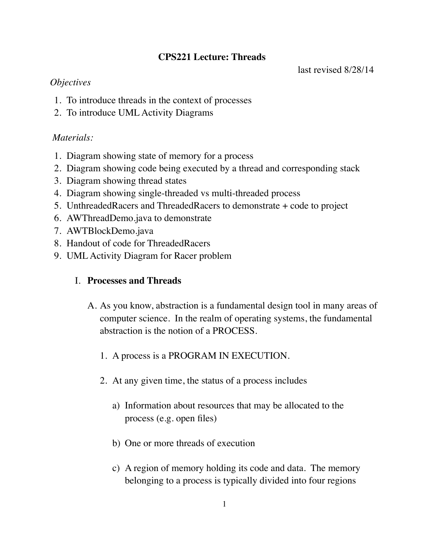# **CPS221 Lecture: Threads**

last revised 8/28/14

## *Objectives*

- 1. To introduce threads in the context of processes
- 2. To introduce UML Activity Diagrams

## *Materials:*

- 1. Diagram showing state of memory for a process
- 2. Diagram showing code being executed by a thread and corresponding stack
- 3. Diagram showing thread states
- 4. Diagram showing single-threaded vs multi-threaded process
- 5. UnthreadedRacers and ThreadedRacers to demonstrate + code to project
- 6. AWThreadDemo.java to demonstrate
- 7. AWTBlockDemo.java
- 8. Handout of code for ThreadedRacers
- 9. UML Activity Diagram for Racer problem

# I. **Processes and Threads**

- A. As you know, abstraction is a fundamental design tool in many areas of computer science. In the realm of operating systems, the fundamental abstraction is the notion of a PROCESS.
	- 1. A process is a PROGRAM IN EXECUTION.
	- 2. At any given time, the status of a process includes
		- a) Information about resources that may be allocated to the process (e.g. open files)
		- b) One or more threads of execution
		- c) A region of memory holding its code and data. The memory belonging to a process is typically divided into four regions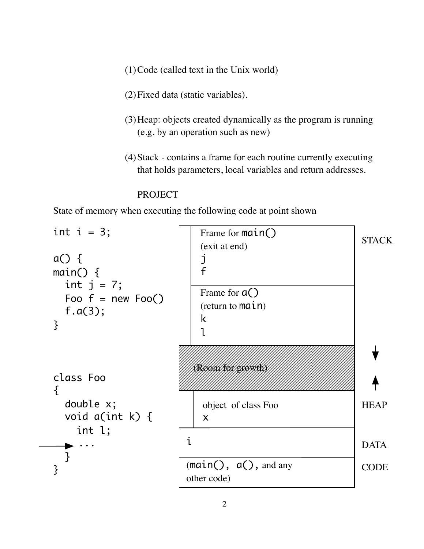- (1)Code (called text in the Unix world)
- (2)Fixed data (static variables).
- (3)Heap: objects created dynamically as the program is running (e.g. by an operation such as new)
- (4)Stack contains a frame for each routine currently executing that holds parameters, local variables and return addresses.

### PROJECT

State of memory when executing the following code at point shown

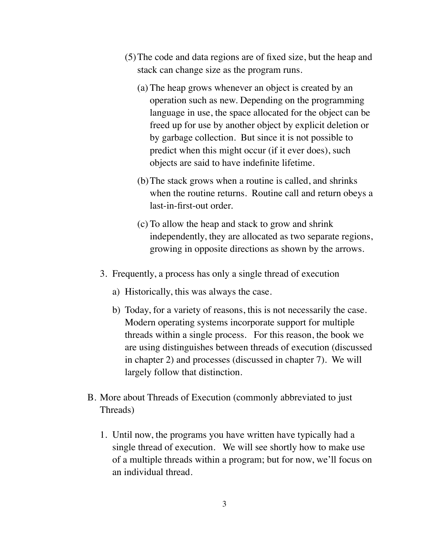- (5)The code and data regions are of fixed size, but the heap and stack can change size as the program runs.
	- (a) The heap grows whenever an object is created by an operation such as new. Depending on the programming language in use, the space allocated for the object can be freed up for use by another object by explicit deletion or by garbage collection. But since it is not possible to predict when this might occur (if it ever does), such objects are said to have indefinite lifetime.
	- (b)The stack grows when a routine is called, and shrinks when the routine returns. Routine call and return obeys a last-in-first-out order.
	- (c) To allow the heap and stack to grow and shrink independently, they are allocated as two separate regions, growing in opposite directions as shown by the arrows.
- 3. Frequently, a process has only a single thread of execution
	- a) Historically, this was always the case.
	- b) Today, for a variety of reasons, this is not necessarily the case. Modern operating systems incorporate support for multiple threads within a single process. For this reason, the book we are using distinguishes between threads of execution (discussed in chapter 2) and processes (discussed in chapter 7). We will largely follow that distinction.
- B. More about Threads of Execution (commonly abbreviated to just Threads)
	- 1. Until now, the programs you have written have typically had a single thread of execution. We will see shortly how to make use of a multiple threads within a program; but for now, we'll focus on an individual thread.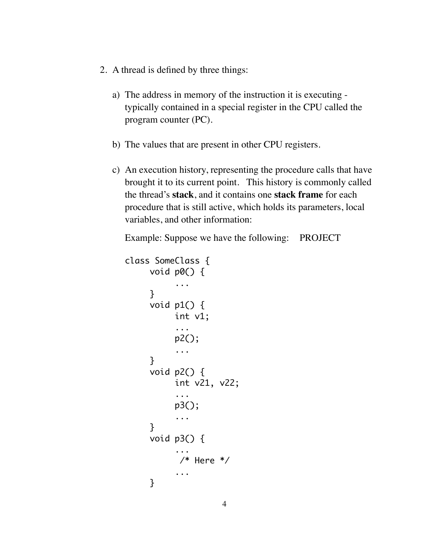- 2. A thread is defined by three things:
	- a) The address in memory of the instruction it is executing typically contained in a special register in the CPU called the program counter (PC).
	- b) The values that are present in other CPU registers.
	- c) An execution history, representing the procedure calls that have brought it to its current point. This history is commonly called the thread's **stack**, and it contains one **stack frame** for each procedure that is still active, which holds its parameters, local variables, and other information:

Example: Suppose we have the following: PROJECT

```
class SomeClass {
      void p0() {
              	 	 ...
       }
      void p1() { 
              	 	 int v1; 
              	 	 ... 
             	 	 p2(); 
              	 	 ... 
       }
      void p2() { 
              	 	 int v21, v22; 
              	 	 ... 
              	 	 p3(); 
              	 	 ... 
       }
      void p3() {
	 	 ...
              /* Here */	 	 ...
       }
```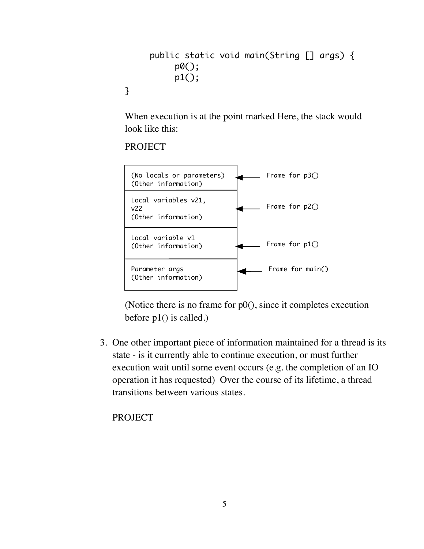```
public static void main(String [] args) {
     	 	 p0();
     	 	 p1();
```
When execution is at the point marked Here, the stack would look like this:

PROJECT

}



(Notice there is no frame for  $p0()$ , since it completes execution before p1() is called.)

3. One other important piece of information maintained for a thread is its state - is it currently able to continue execution, or must further execution wait until some event occurs (e.g. the completion of an IO operation it has requested) Over the course of its lifetime, a thread transitions between various states.

**PROJECT**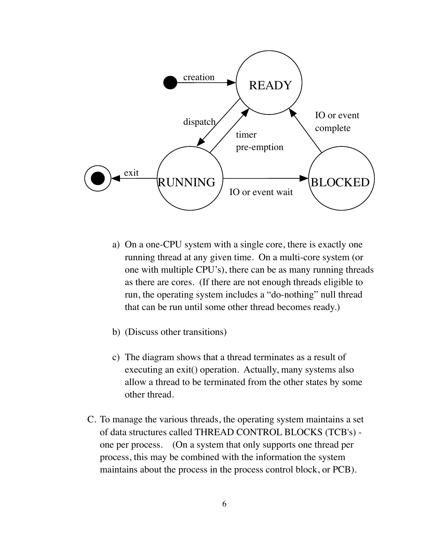

- a) On a one-CPU system with a single core, there is exactly one running thread at any given time. On a multi-core system (or one with multiple CPU's), there can be as many running threads as there are cores. (If there are not enough threads eligible to run, the operating system includes a "do-nothing" null thread that can be run until some other thread becomes ready.)
- b) (Discuss other transitions)
- c) The diagram shows that a thread terminates as a result of executing an exit() operation. Actually, many systems also allow a thread to be terminated from the other states by some other thread.
- C. To manage the various threads, the operating system maintains a set of data structures called THREAD CONTROL BLOCKS (TCB's) one per process. (On a system that only supports one thread per process, this may be combined with the information the system maintains about the process in the process control block, or PCB).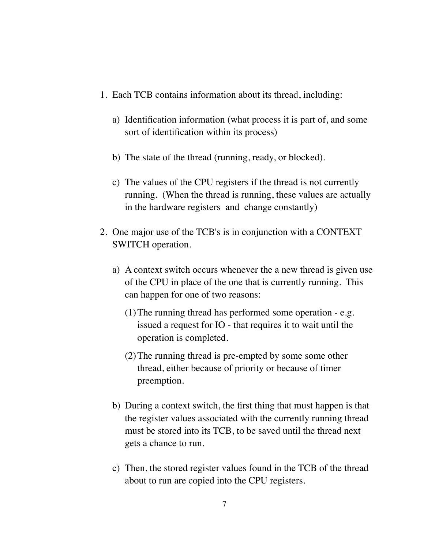- 1. Each TCB contains information about its thread, including:
	- a) Identification information (what process it is part of, and some sort of identification within its process)
	- b) The state of the thread (running, ready, or blocked).
	- c) The values of the CPU registers if the thread is not currently running. (When the thread is running, these values are actually in the hardware registers and change constantly)
- 2. One major use of the TCB's is in conjunction with a CONTEXT SWITCH operation.
	- a) A context switch occurs whenever the a new thread is given use of the CPU in place of the one that is currently running. This can happen for one of two reasons:
		- (1)The running thread has performed some operation e.g. issued a request for IO - that requires it to wait until the operation is completed.
		- (2)The running thread is pre-empted by some some other thread, either because of priority or because of timer preemption.
	- b) During a context switch, the first thing that must happen is that the register values associated with the currently running thread must be stored into its TCB, to be saved until the thread next gets a chance to run.
	- c) Then, the stored register values found in the TCB of the thread about to run are copied into the CPU registers.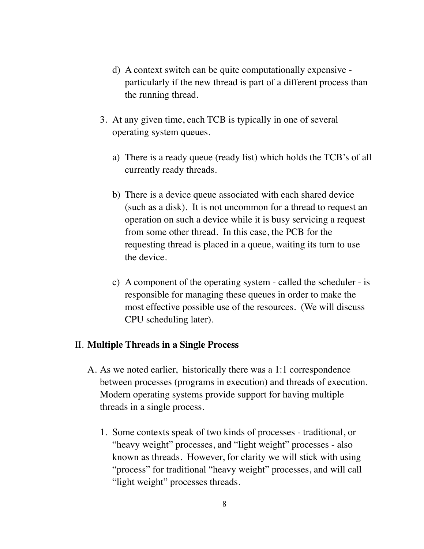- d) A context switch can be quite computationally expensive particularly if the new thread is part of a different process than the running thread.
- 3. At any given time, each TCB is typically in one of several operating system queues.
	- a) There is a ready queue (ready list) which holds the TCB's of all currently ready threads.
	- b) There is a device queue associated with each shared device (such as a disk). It is not uncommon for a thread to request an operation on such a device while it is busy servicing a request from some other thread. In this case, the PCB for the requesting thread is placed in a queue, waiting its turn to use the device.
	- c) A component of the operating system called the scheduler is responsible for managing these queues in order to make the most effective possible use of the resources. (We will discuss CPU scheduling later).

#### II. **Multiple Threads in a Single Process**

- A. As we noted earlier, historically there was a 1:1 correspondence between processes (programs in execution) and threads of execution. Modern operating systems provide support for having multiple threads in a single process.
	- 1. Some contexts speak of two kinds of processes traditional, or "heavy weight" processes, and "light weight" processes - also known as threads. However, for clarity we will stick with using "process" for traditional "heavy weight" processes, and will call "light weight" processes threads.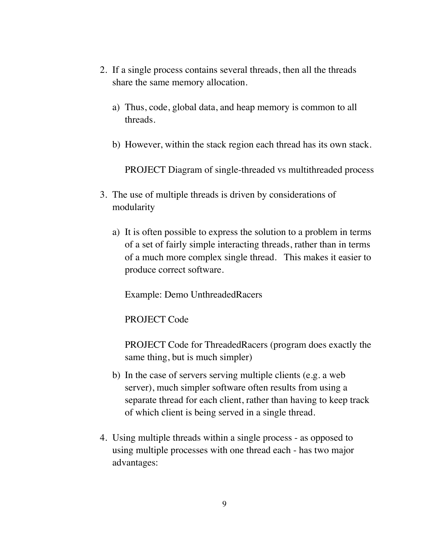- 2. If a single process contains several threads, then all the threads share the same memory allocation.
	- a) Thus, code, global data, and heap memory is common to all threads.
	- b) However, within the stack region each thread has its own stack.

PROJECT Diagram of single-threaded vs multithreaded process

- 3. The use of multiple threads is driven by considerations of modularity
	- a) It is often possible to express the solution to a problem in terms of a set of fairly simple interacting threads, rather than in terms of a much more complex single thread. This makes it easier to produce correct software.

Example: Demo UnthreadedRacers

PROJECT Code

PROJECT Code for ThreadedRacers (program does exactly the same thing, but is much simpler)

- b) In the case of servers serving multiple clients (e.g. a web server), much simpler software often results from using a separate thread for each client, rather than having to keep track of which client is being served in a single thread.
- 4. Using multiple threads within a single process as opposed to using multiple processes with one thread each - has two major advantages: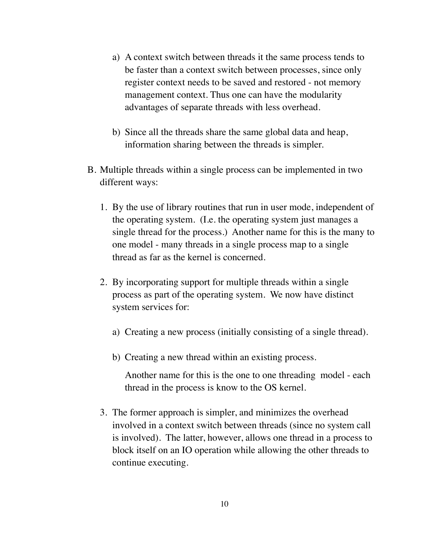- a) A context switch between threads it the same process tends to be faster than a context switch between processes, since only register context needs to be saved and restored - not memory management context. Thus one can have the modularity advantages of separate threads with less overhead.
- b) Since all the threads share the same global data and heap, information sharing between the threads is simpler.
- B. Multiple threads within a single process can be implemented in two different ways:
	- 1. By the use of library routines that run in user mode, independent of the operating system. (I.e. the operating system just manages a single thread for the process.) Another name for this is the many to one model - many threads in a single process map to a single thread as far as the kernel is concerned.
	- 2. By incorporating support for multiple threads within a single process as part of the operating system. We now have distinct system services for:
		- a) Creating a new process (initially consisting of a single thread).
		- b) Creating a new thread within an existing process.

Another name for this is the one to one threading model - each thread in the process is know to the OS kernel.

3. The former approach is simpler, and minimizes the overhead involved in a context switch between threads (since no system call is involved). The latter, however, allows one thread in a process to block itself on an IO operation while allowing the other threads to continue executing.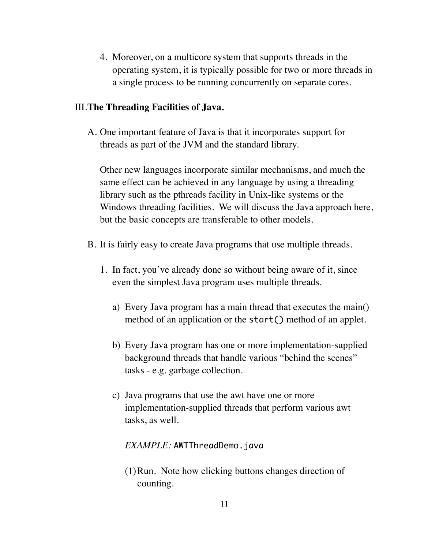4. Moreover, on a multicore system that supports threads in the operating system, it is typically possible for two or more threads in a single process to be running concurrently on separate cores.

### III.**The Threading Facilities of Java.**

A. One important feature of Java is that it incorporates support for threads as part of the JVM and the standard library.

Other new languages incorporate similar mechanisms, and much the same effect can be achieved in any language by using a threading library such as the pthreads facility in Unix-like systems or the Windows threading facilities. We will discuss the Java approach here, but the basic concepts are transferable to other models.

- B. It is fairly easy to create Java programs that use multiple threads.
	- 1. In fact, you've already done so without being aware of it, since even the simplest Java program uses multiple threads.
		- a) Every Java program has a main thread that executes the main() method of an application or the start() method of an applet.
		- b) Every Java program has one or more implementation-supplied background threads that handle various "behind the scenes" tasks - e.g. garbage collection.
		- c) Java programs that use the awt have one or more implementation-supplied threads that perform various awt tasks, as well.

### *EXAMPLE:* AWTThreadDemo.java

(1)Run. Note how clicking buttons changes direction of counting.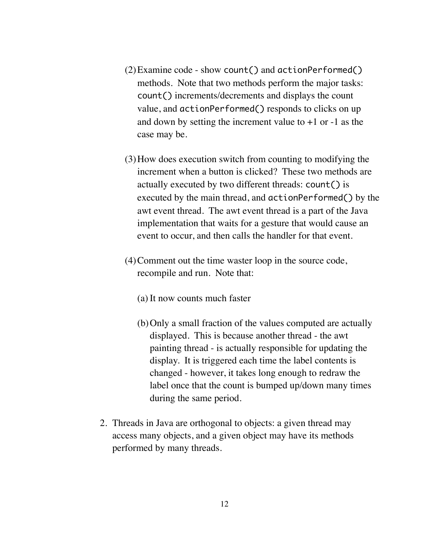- (2)Examine code show count() and actionPerformed() methods. Note that two methods perform the major tasks: count() increments/decrements and displays the count value, and actionPerformed() responds to clicks on up and down by setting the increment value to  $+1$  or  $-1$  as the case may be.
- (3)How does execution switch from counting to modifying the increment when a button is clicked? These two methods are actually executed by two different threads: count() is executed by the main thread, and actionPerformed() by the awt event thread. The awt event thread is a part of the Java implementation that waits for a gesture that would cause an event to occur, and then calls the handler for that event.
- (4)Comment out the time waster loop in the source code, recompile and run. Note that:
	- (a) It now counts much faster
	- (b)Only a small fraction of the values computed are actually displayed. This is because another thread - the awt painting thread - is actually responsible for updating the display. It is triggered each time the label contents is changed - however, it takes long enough to redraw the label once that the count is bumped up/down many times during the same period.
- 2. Threads in Java are orthogonal to objects: a given thread may access many objects, and a given object may have its methods performed by many threads.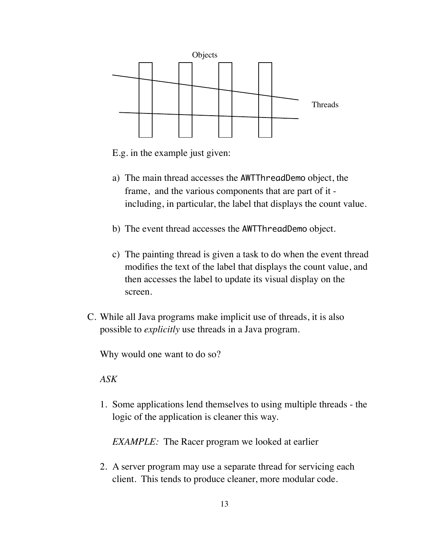

E.g. in the example just given:

- a) The main thread accesses the AWTThreadDemo object, the frame, and the various components that are part of it including, in particular, the label that displays the count value.
- b) The event thread accesses the AWTThreadDemo object.
- c) The painting thread is given a task to do when the event thread modifies the text of the label that displays the count value, and then accesses the label to update its visual display on the screen.
- C. While all Java programs make implicit use of threads, it is also possible to *explicitly* use threads in a Java program.

Why would one want to do so?

### *ASK*

1. Some applications lend themselves to using multiple threads - the logic of the application is cleaner this way.

*EXAMPLE:* The Racer program we looked at earlier

2. A server program may use a separate thread for servicing each client. This tends to produce cleaner, more modular code.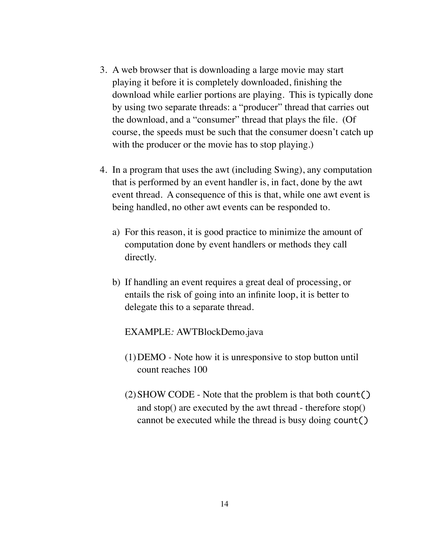- 3. A web browser that is downloading a large movie may start playing it before it is completely downloaded, finishing the download while earlier portions are playing. This is typically done by using two separate threads: a "producer" thread that carries out the download, and a "consumer" thread that plays the file. (Of course, the speeds must be such that the consumer doesn't catch up with the producer or the movie has to stop playing.)
- 4. In a program that uses the awt (including Swing), any computation that is performed by an event handler is, in fact, done by the awt event thread. A consequence of this is that, while one awt event is being handled, no other awt events can be responded to.
	- a) For this reason, it is good practice to minimize the amount of computation done by event handlers or methods they call directly.
	- b) If handling an event requires a great deal of processing, or entails the risk of going into an infinite loop, it is better to delegate this to a separate thread.

EXAMPLE*:* AWTBlockDemo.java

- (1)DEMO *-* Note how it is unresponsive to stop button until count reaches 100
- (2)SHOW CODE Note that the problem is that both count() and stop() are executed by the awt thread - therefore stop() cannot be executed while the thread is busy doing count()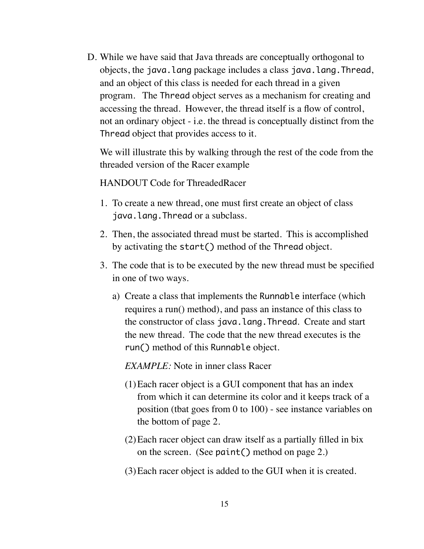D. While we have said that Java threads are conceptually orthogonal to objects, the java.lang package includes a class java.lang.Thread, and an object of this class is needed for each thread in a given program. The Thread object serves as a mechanism for creating and accessing the thread. However, the thread itself is a flow of control, not an ordinary object - i.e. the thread is conceptually distinct from the Thread object that provides access to it.

We will illustrate this by walking through the rest of the code from the threaded version of the Racer example

HANDOUT Code for ThreadedRacer

- 1. To create a new thread, one must first create an object of class java.lang.Thread or a subclass.
- 2. Then, the associated thread must be started. This is accomplished by activating the start() method of the Thread object.
- 3. The code that is to be executed by the new thread must be specified in one of two ways.
	- a) Create a class that implements the Runnable interface (which requires a run() method), and pass an instance of this class to the constructor of class java.lang.Thread. Create and start the new thread. The code that the new thread executes is the run() method of this Runnable object.

*EXAMPLE:* Note in inner class Racer

- (1)Each racer object is a GUI component that has an index from which it can determine its color and it keeps track of a position (tbat goes from 0 to 100) - see instance variables on the bottom of page 2.
- (2)Each racer object can draw itself as a partially filled in bix on the screen. (See paint() method on page 2.)
- (3)Each racer object is added to the GUI when it is created.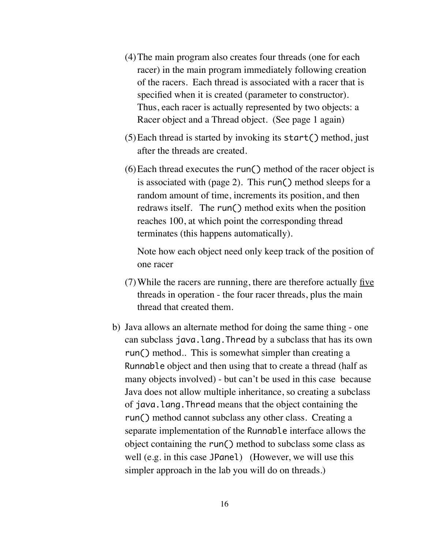- (4)The main program also creates four threads (one for each racer) in the main program immediately following creation of the racers. Each thread is associated with a racer that is specified when it is created (parameter to constructor). Thus, each racer is actually represented by two objects: a Racer object and a Thread object. (See page 1 again)
- (5)Each thread is started by invoking its start() method, just after the threads are created.
- (6)Each thread executes the run() method of the racer object is is associated with (page 2). This run() method sleeps for a random amount of time, increments its position, and then redraws itself. The run() method exits when the position reaches 100, at which point the corresponding thread terminates (this happens automatically).

Note how each object need only keep track of the position of one racer

- (7) While the racers are running, there are therefore actually five threads in operation - the four racer threads, plus the main thread that created them.
- b) Java allows an alternate method for doing the same thing one can subclass java.lang.Thread by a subclass that has its own run() method.. This is somewhat simpler than creating a Runnable object and then using that to create a thread (half as many objects involved) - but can't be used in this case because Java does not allow multiple inheritance, so creating a subclass of java.lang.Thread means that the object containing the run() method cannot subclass any other class. Creating a separate implementation of the Runnable interface allows the object containing the run() method to subclass some class as well (e.g. in this case JPanel) (However, we will use this simpler approach in the lab you will do on threads.)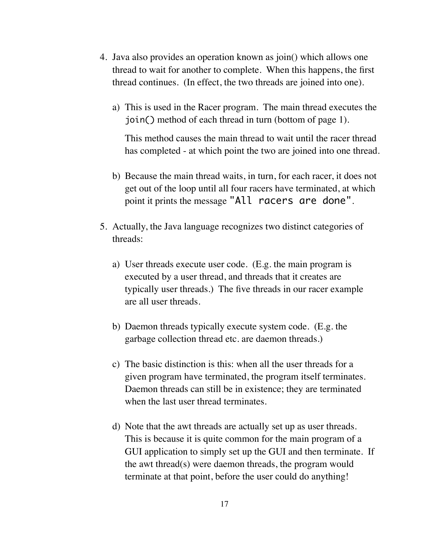- 4. Java also provides an operation known as join() which allows one thread to wait for another to complete. When this happens, the first thread continues. (In effect, the two threads are joined into one).
	- a) This is used in the Racer program. The main thread executes the join() method of each thread in turn (bottom of page 1).

This method causes the main thread to wait until the racer thread has completed - at which point the two are joined into one thread.

- b) Because the main thread waits, in turn, for each racer, it does not get out of the loop until all four racers have terminated, at which point it prints the message "All racers are done".
- 5. Actually, the Java language recognizes two distinct categories of threads:
	- a) User threads execute user code. (E.g. the main program is executed by a user thread, and threads that it creates are typically user threads.) The five threads in our racer example are all user threads.
	- b) Daemon threads typically execute system code. (E.g. the garbage collection thread etc. are daemon threads.)
	- c) The basic distinction is this: when all the user threads for a given program have terminated, the program itself terminates. Daemon threads can still be in existence; they are terminated when the last user thread terminates.
	- d) Note that the awt threads are actually set up as user threads. This is because it is quite common for the main program of a GUI application to simply set up the GUI and then terminate. If the awt thread(s) were daemon threads, the program would terminate at that point, before the user could do anything!